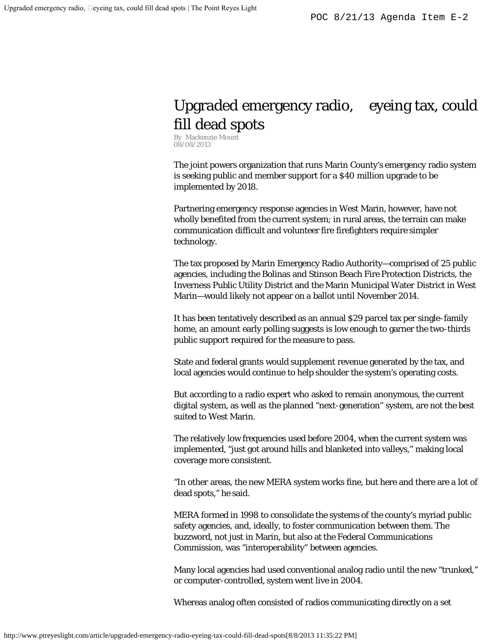## Upgraded emergency radio, eyeing tax, could fill dead spots

By Mackenzie Mount 08/08/2013

The joint powers organization that runs Marin County's emergency radio system is seeking public and member support for a \$40 million upgrade to be implemented by 2018.

Partnering emergency response agencies in West Marin, however, have not wholly benefited from the current system; in rural areas, the terrain can make communication difficult and volunteer fire firefighters require simpler technology.

The tax proposed by Marin Emergency Radio Authority—comprised of 25 public agencies, including the Bolinas and Stinson Beach Fire Protection Districts, the Inverness Public Utility District and the Marin Municipal Water District in West Marin—would likely not appear on a ballot until November 2014.

It has been tentatively described as an annual \$29 parcel tax per single-family home, an amount early polling suggests is low enough to garner the two-thirds public support required for the measure to pass.

State and federal grants would supplement revenue generated by the tax, and local agencies would continue to help shoulder the system's operating costs.

But according to a radio expert who asked to remain anonymous, the current digital system, as well as the planned "next-generation" system, are not the best suited to West Marin.

The relatively low frequencies used before 2004, when the current system was implemented, "just got around hills and blanketed into valleys," making local coverage more consistent.

"In other areas, the new MERA system works fine, but here and there are a lot of dead spots," he said.

MERA formed in 1998 to consolidate the systems of the county's myriad public safety agencies, and, ideally, to foster communication between them. The buzzword, not just in Marin, but also at the Federal Communications Commission, was "interoperability" between agencies.

Many local agencies had used conventional analog radio until the new "trunked," or computer-controlled, system went live in 2004.

Whereas analog often consisted of radios communicating directly on a set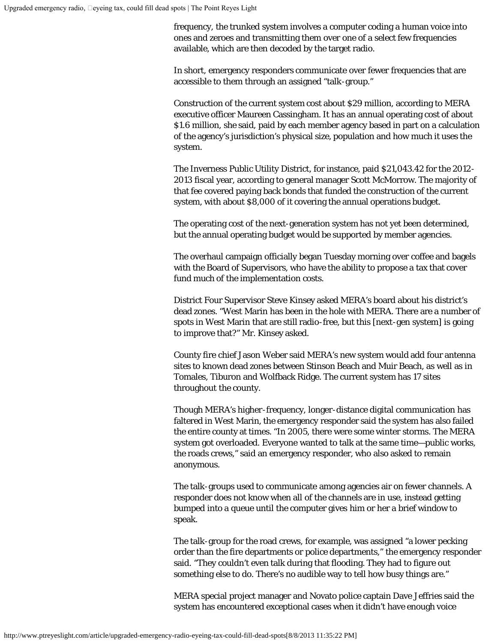frequency, the trunked system involves a computer coding a human voice into ones and zeroes and transmitting them over one of a select few frequencies available, which are then decoded by the target radio.

In short, emergency responders communicate over fewer frequencies that are accessible to them through an assigned "talk-group."

Construction of the current system cost about \$29 million, according to MERA executive officer Maureen Cassingham. It has an annual operating cost of about \$1.6 million, she said, paid by each member agency based in part on a calculation of the agency's jurisdiction's physical size, population and how much it uses the system.

The Inverness Public Utility District, for instance, paid \$21,043.42 for the 2012- 2013 fiscal year, according to general manager Scott McMorrow. The majority of that fee covered paying back bonds that funded the construction of the current system, with about \$8,000 of it covering the annual operations budget.

The operating cost of the next-generation system has not yet been determined, but the annual operating budget would be supported by member agencies.

The overhaul campaign officially began Tuesday morning over coffee and bagels with the Board of Supervisors, who have the ability to propose a tax that cover fund much of the implementation costs.

District Four Supervisor Steve Kinsey asked MERA's board about his district's dead zones. "West Marin has been in the hole with MERA. There are a number of spots in West Marin that are still radio-free, but this [next-gen system] is going to improve that?" Mr. Kinsey asked.

County fire chief Jason Weber said MERA's new system would add four antenna sites to known dead zones between Stinson Beach and Muir Beach, as well as in Tomales, Tiburon and Wolfback Ridge. The current system has 17 sites throughout the county.

Though MERA's higher-frequency, longer-distance digital communication has faltered in West Marin, the emergency responder said the system has also failed the entire county at times. "In 2005, there were some winter storms. The MERA system got overloaded. Everyone wanted to talk at the same time—public works, the roads crews," said an emergency responder, who also asked to remain anonymous.

The talk-groups used to communicate among agencies air on fewer channels. A responder does not know when all of the channels are in use, instead getting bumped into a queue until the computer gives him or her a brief window to speak.

The talk-group for the road crews, for example, was assigned "a lower pecking order than the fire departments or police departments," the emergency responder said. "They couldn't even talk during that flooding. They had to figure out something else to do. There's no audible way to tell how busy things are."

MERA special project manager and Novato police captain Dave Jeffries said the system has encountered exceptional cases when it didn't have enough voice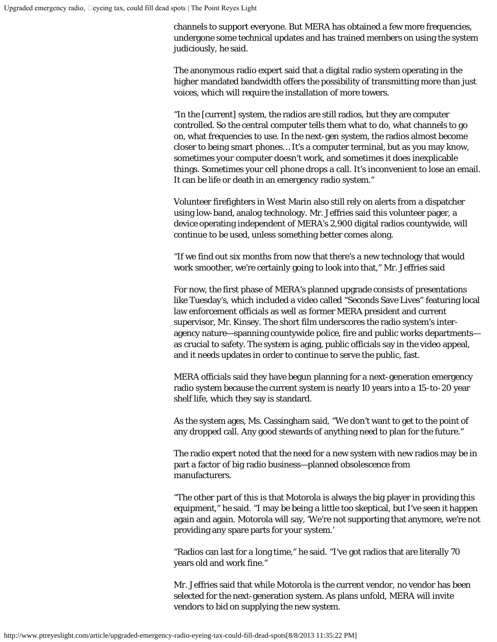channels to support everyone. But MERA has obtained a few more frequencies, undergone some technical updates and has trained members on using the system judiciously, he said.

The anonymous radio expert said that a digital radio system operating in the higher mandated bandwidth offers the possibility of transmitting more than just voices, which will require the installation of more towers.

"In the [current] system, the radios are still radios, but they are computer controlled. So the central computer tells them what to do, what channels to go on, what frequencies to use. In the next-gen system, the radios almost become closer to being smart phones… It's a computer terminal, but as you may know, sometimes your computer doesn't work, and sometimes it does inexplicable things. Sometimes your cell phone drops a call. It's inconvenient to lose an email. It can be life or death in an emergency radio system."

Volunteer firefighters in West Marin also still rely on alerts from a dispatcher using low-band, analog technology. Mr. Jeffries said this volunteer pager, a device operating independent of MERA's 2,900 digital radios countywide, will continue to be used, unless something better comes along.

"If we find out six months from now that there's a new technology that would work smoother, we're certainly going to look into that," Mr. Jeffries said

For now, the first phase of MERA's planned upgrade consists of presentations like Tuesday's, which included a video called "Seconds Save Lives" featuring local law enforcement officials as well as former MERA president and current supervisor, Mr. Kinsey. The short film underscores the radio system's interagency nature—spanning countywide police, fire and public works departments as crucial to safety. The system is aging, public officials say in the video appeal, and it needs updates in order to continue to serve the public, fast.

MERA officials said they have begun planning for a next-generation emergency radio system because the current system is nearly 10 years into a 15-to-20 year shelf life, which they say is standard.

As the system ages, Ms. Cassingham said, "We don't want to get to the point of any dropped call. Any good stewards of anything need to plan for the future."

The radio expert noted that the need for a new system with new radios may be in part a factor of big radio business—planned obsolescence from manufacturers.

"The other part of this is that Motorola is always the big player in providing this equipment," he said. "I may be being a little too skeptical, but I've seen it happen again and again. Motorola will say, 'We're not supporting that anymore, we're not providing any spare parts for your system.'

"Radios can last for a long time," he said. "I've got radios that are literally 70 years old and work fine."

Mr. Jeffries said that while Motorola is the current vendor, no vendor has been selected for the next-generation system. As plans unfold, MERA will invite vendors to bid on supplying the new system.